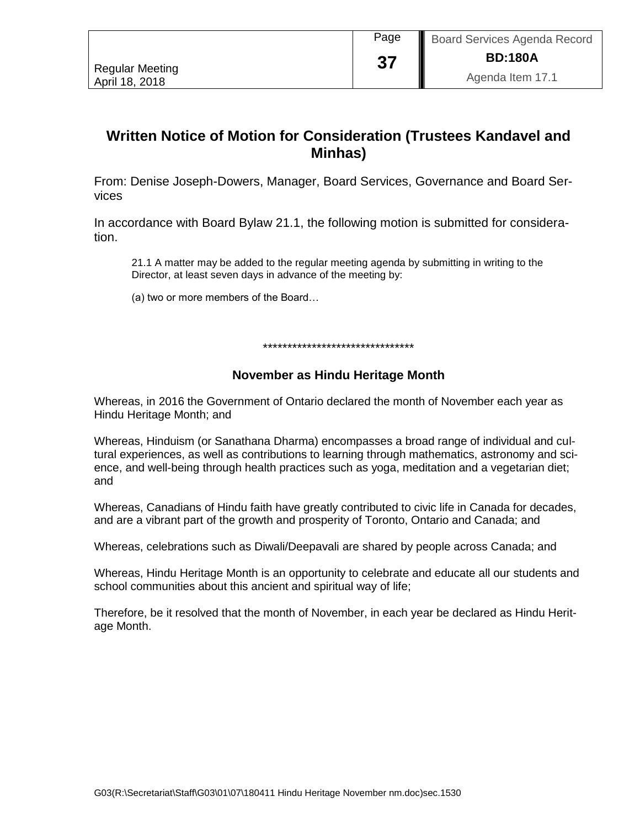|                        | Page     | Board Services Agenda Record |
|------------------------|----------|------------------------------|
| <b>Regular Meeting</b> | 27<br>J≀ | <b>BD:180A</b>               |
| April 18, 2018         |          | Agenda Item 17.1             |

## **Written Notice of Motion for Consideration (Trustees Kandavel and Minhas)**

From: Denise Joseph-Dowers, Manager, Board Services, Governance and Board Services

In accordance with Board Bylaw 21.1, the following motion is submitted for consideration.

21.1 A matter may be added to the regular meeting agenda by submitting in writing to the Director, at least seven days in advance of the meeting by:

(a) two or more members of the Board…

\*\*\*\*\*\*\*\*\*\*\*\*\*\*\*\*\*\*\*\*\*\*\*\*\*\*\*\*\*\*\*

## **November as Hindu Heritage Month**

Whereas, in 2016 the Government of Ontario declared the month of November each year as Hindu Heritage Month; and

Whereas, Hinduism (or Sanathana Dharma) encompasses a broad range of individual and cultural experiences, as well as contributions to learning through mathematics, astronomy and science, and well-being through health practices such as yoga, meditation and a vegetarian diet; and

Whereas, Canadians of Hindu faith have greatly contributed to civic life in Canada for decades, and are a vibrant part of the growth and prosperity of Toronto, Ontario and Canada; and

Whereas, celebrations such as Diwali/Deepavali are shared by people across Canada; and

Whereas, Hindu Heritage Month is an opportunity to celebrate and educate all our students and school communities about this ancient and spiritual way of life;

Therefore, be it resolved that the month of November, in each year be declared as Hindu Heritage Month.